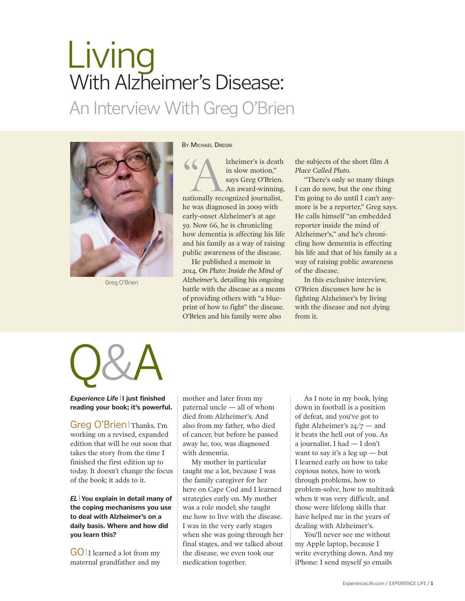# **Living** With Alzheimer's Disease: An Interview With Greg O'Brien



Greg O'Brien

#### By Michael Dregni

 $\begin{tabular}{l} \hline \textbf{zheimer's is death} \textbf{in slow motion,}^n \textbf{size O'Brien.} \\ \textbf{a} \textbf{y} \textbf{y} \textbf{Greg O'Brien.} \\ \textbf{A} \textbf{n} \textbf{a} \textbf{ward-winning,} \\ \textbf{a} \textbf{y} \textbf{y} \textbf{y} \textbf{z} \textbf{y} \textbf{z} \textbf{y} \textbf{z} \textbf{y} \textbf{z} \textbf{y} \textbf{z} \textbf{z} \textbf{y} \textbf{z} \textbf{z} \textbf{z} \textbf{y} \textbf{$ in slow motion," says Greg O'Brien. An award-winning,

he was diagnosed in 2009 with early-onset Alzheimer's at age 59. Now 66, he is chronicling how dementia is affecting his life and his family as a way of raising public awareness of the disease.

He published a memoir in 2014, *On Pluto: Inside the Mind of Alzheimer's*, detailing his ongoing battle with the disease as a means of providing others with "a blueprint of how to fight" the disease. O'Brien and his family were also

the subjects of the short film *A Place Called Pluto*.

"There's only so many things I can do now, but the one thing I'm going to do until I can't anymore is be a reporter," Greg says. He calls himself "an embedded reporter inside the mind of Alzheimer's," and he's chronicling how dementia is effecting his life and that of his family as a way of raising public awareness of the disease.

In this exclusive interview, O'Brien discusses how he is fighting Alzheimer's by living with the disease and not dying from it.



### *Experience Life* **I just finished reading your book; it's powerful.**

Greg O'Brien | Thanks. I'm working on a revised, expanded edition that will be out soon that takes the story from the time I finished the first edition up to today. It doesn't change the focus of the book; it adds to it.

*EL* **You explain in detail many of the coping mechanisms you use to deal with Alzheimer's on a daily basis. Where and how did you learn this?**

 $GO|I$  learned a lot from my maternal grandfather and my

mother and later from my paternal uncle — all of whom died from Alzheimer's. And also from my father, who died of cancer, but before he passed away he, too, was diagnosed with dementia.

My mother in particular taught me a lot, because I was the family caregiver for her here on Cape Cod and I learned strategies early on. My mother was a role model; she taught me how to live with the disease. I was in the very early stages when she was going through her final stages, and we talked about the disease, we even took our medication together.

As I note in my book, lying down in football is a position of defeat, and you've got to fight Alzheimer's 24/7 — and it beats the hell out of you. As a journalist, I had — I don't want to say it's a leg up — but I learned early on how to take copious notes, how to work through problems, how to problem-solve, how to multitask when it was very difficult, and those were lifelong skills that have helped me in the years of dealing with Alzheimer's.

You'll never see me without my Apple laptop, because I write everything down. And my iPhone: I send myself 50 emails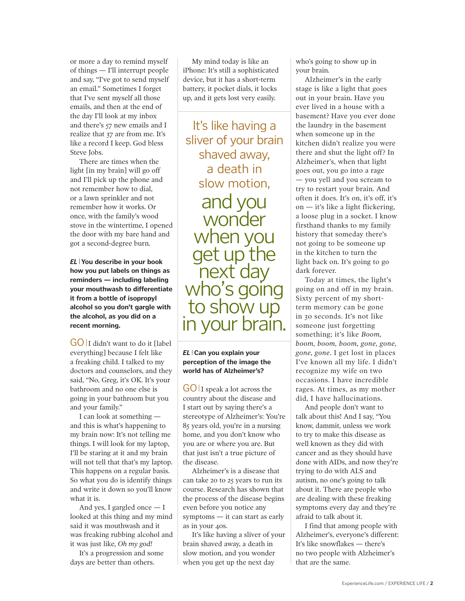or more a day to remind myself of things — I'll interrupt people and say, "I've got to send myself an email." Sometimes I forget that I've sent myself all those emails, and then at the end of the day I'll look at my inbox and there's 57 new emails and I realize that 37 are from me. It's like a record I keep. God bless Steve Jobs.

There are times when the light [in my brain] will go off and I'll pick up the phone and not remember how to dial, or a lawn sprinkler and not remember how it works. Or once, with the family's wood stove in the wintertime, I opened the door with my bare hand and got a second-degree burn.

*EL* **You describe in your book how you put labels on things as reminders — including labeling your mouthwash to differentiate it from a bottle of isopropyl alcohol so you don't gargle with the alcohol, as you did on a recent morning.**

 $GO|I$  didn't want to do it [label] everything] because I felt like a freaking child. I talked to my doctors and counselors, and they said, "No, Greg, it's OK. It's your bathroom and no one else is going in your bathroom but you and your family."

I can look at something and this is what's happening to my brain now: It's not telling me things. I will look for my laptop, I'll be staring at it and my brain will not tell that that's my laptop. This happens on a regular basis. So what you do is identify things and write it down so you'll know what it is.

And yes, I gargled once — I looked at this thing and my mind said it was mouthwash and it was freaking rubbing alcohol and it was just like, *Oh my god!*

It's a progression and some days are better than others.

My mind today is like an iPhone: It's still a sophisticated device, but it has a short-term battery, it pocket dials, it locks up, and it gets lost very easily.

It's like having a sliver of your brain shaved away, a death in slow motion, and you wonder when you get up the next day who's going to show up in your brain.

## *EL* **Can you explain your perception of the image the world has of Alzheimer's?**

 $\overline{GO}$  I speak a lot across the country about the disease and I start out by saying there's a stereotype of Alzheimer's: You're 85 years old, you're in a nursing home, and you don't know who you are or where you are. But that just isn't a true picture of the disease.

Alzheimer's is a disease that can take 20 to 25 years to run its course. Research has shown that the process of the disease begins even before you notice any symptoms — it can start as early as in your 40s.

It's like having a sliver of your brain shaved away, a death in slow motion, and you wonder when you get up the next day

who's going to show up in your brain.

Alzheimer's in the early stage is like a light that goes out in your brain. Have you ever lived in a house with a basement? Have you ever done the laundry in the basement when someone up in the kitchen didn't realize you were there and shut the light off? In Alzheimer's, when that light goes out, you go into a rage — you yell and you scream to try to restart your brain. And often it does. It's on, it's off, it's on — it's like a light flickering, a loose plug in a socket. I know firsthand thanks to my family history that someday there's not going to be someone up in the kitchen to turn the light back on. It's going to go dark forever.

Today at times, the light's going on and off in my brain. Sixty percent of my shortterm memory can be gone in 30 seconds. It's not like someone just forgetting something; it's like *Boom, boom, boom, boom, gone, gone, gone, gone*. I get lost in places I've known all my life. I didn't recognize my wife on two occasions. I have incredible rages. At times, as my mother did, I have hallucinations.

And people don't want to talk about this! And I say, "You know, dammit, unless we work to try to make this disease as well known as they did with cancer and as they should have done with AIDs, and now they're trying to do with ALS and autism, no one's going to talk about it. There are people who are dealing with these freaking symptoms every day and they're afraid to talk about it.

I find that among people with Alzheimer's, everyone's different: It's like snowflakes — there's no two people with Alzheimer's that are the same.